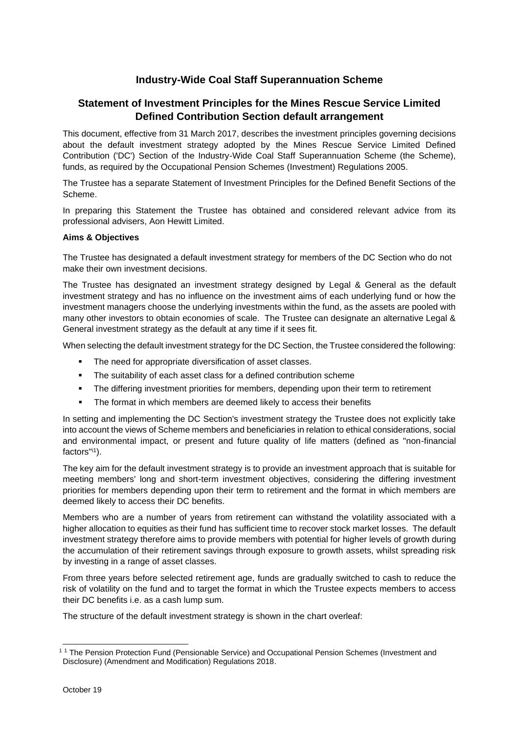# **Industry-Wide Coal Staff Superannuation Scheme**

## **Statement of Investment Principles for the Mines Rescue Service Limited Defined Contribution Section default arrangement**

This document, effective from 31 March 2017, describes the investment principles governing decisions about the default investment strategy adopted by the Mines Rescue Service Limited Defined Contribution ('DC') Section of the Industry-Wide Coal Staff Superannuation Scheme (the Scheme), funds, as required by the Occupational Pension Schemes (Investment) Regulations 2005.

The Trustee has a separate Statement of Investment Principles for the Defined Benefit Sections of the Scheme.

In preparing this Statement the Trustee has obtained and considered relevant advice from its professional advisers, Aon Hewitt Limited.

## **Aims & Objectives**

The Trustee has designated a default investment strategy for members of the DC Section who do not make their own investment decisions.

The Trustee has designated an investment strategy designed by Legal & General as the default investment strategy and has no influence on the investment aims of each underlying fund or how the investment managers choose the underlying investments within the fund, as the assets are pooled with many other investors to obtain economies of scale. The Trustee can designate an alternative Legal & General investment strategy as the default at any time if it sees fit.

When selecting the default investment strategy for the DC Section, the Trustee considered the following:

- The need for appropriate diversification of asset classes.
- **•** The suitability of each asset class for a defined contribution scheme
- **•** The differing investment priorities for members, depending upon their term to retirement
- **•** The format in which members are deemed likely to access their benefits

In setting and implementing the DC Section's investment strategy the Trustee does not explicitly take into account the views of Scheme members and beneficiaries in relation to ethical considerations, social and environmental impact, or present and future quality of life matters (defined as "non-financial factors"<sup>i1</sup>).

The key aim for the default investment strategy is to provide an investment approach that is suitable for meeting members' long and short-term investment objectives, considering the differing investment priorities for members depending upon their term to retirement and the format in which members are deemed likely to access their DC benefits.

Members who are a number of years from retirement can withstand the volatility associated with a higher allocation to equities as their fund has sufficient time to recover stock market losses. The default investment strategy therefore aims to provide members with potential for higher levels of growth during the accumulation of their retirement savings through exposure to growth assets, whilst spreading risk by investing in a range of asset classes.

From three years before selected retirement age, funds are gradually switched to cash to reduce the risk of volatility on the fund and to target the format in which the Trustee expects members to access their DC benefits i.e. as a cash lump sum.

The structure of the default investment strategy is shown in the chart overleaf:

<sup>&</sup>lt;sup>11</sup> The Pension Protection Fund (Pensionable Service) and Occupational Pension Schemes (Investment and Disclosure) (Amendment and Modification) Regulations 2018.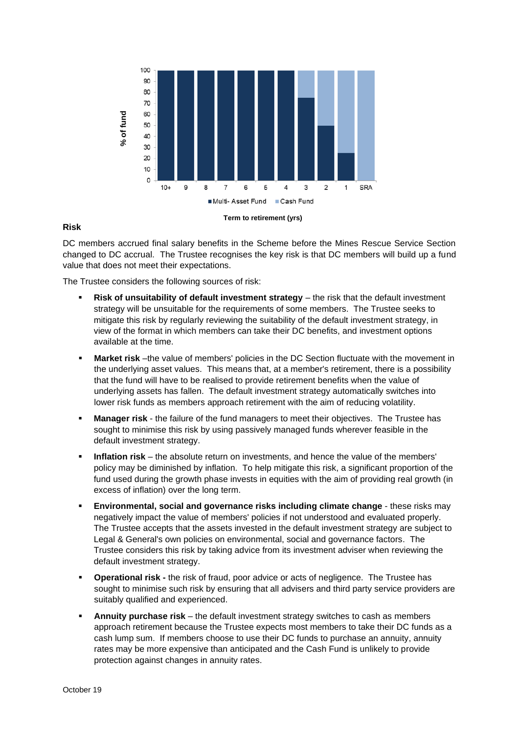

## **Risk**

DC members accrued final salary benefits in the Scheme before the Mines Rescue Service Section changed to DC accrual. The Trustee recognises the key risk is that DC members will build up a fund value that does not meet their expectations.

The Trustee considers the following sources of risk:

- **Risk of unsuitability of default investment strategy** the risk that the default investment strategy will be unsuitable for the requirements of some members. The Trustee seeks to mitigate this risk by regularly reviewing the suitability of the default investment strategy, in view of the format in which members can take their DC benefits, and investment options available at the time.
- **■** Market risk -the value of members' policies in the DC Section fluctuate with the movement in the underlying asset values. This means that, at a member's retirement, there is a possibility that the fund will have to be realised to provide retirement benefits when the value of underlying assets has fallen. The default investment strategy automatically switches into lower risk funds as members approach retirement with the aim of reducing volatility.
- **Manager risk** the failure of the fund managers to meet their objectives. The Trustee has sought to minimise this risk by using passively managed funds wherever feasible in the default investment strategy.
- **Inflation risk** the absolute return on investments, and hence the value of the members' policy may be diminished by inflation. To help mitigate this risk, a significant proportion of the fund used during the growth phase invests in equities with the aim of providing real growth (in excess of inflation) over the long term.
- **Environmental, social and governance risks including climate change** these risks may negatively impact the value of members' policies if not understood and evaluated properly. The Trustee accepts that the assets invested in the default investment strategy are subject to Legal & General's own policies on environmental, social and governance factors. The Trustee considers this risk by taking advice from its investment adviser when reviewing the default investment strategy.
- **Operational risk -** the risk of fraud, poor advice or acts of negligence. The Trustee has sought to minimise such risk by ensuring that all advisers and third party service providers are suitably qualified and experienced.
- **Annuity purchase risk** the default investment strategy switches to cash as members approach retirement because the Trustee expects most members to take their DC funds as a cash lump sum. If members choose to use their DC funds to purchase an annuity, annuity rates may be more expensive than anticipated and the Cash Fund is unlikely to provide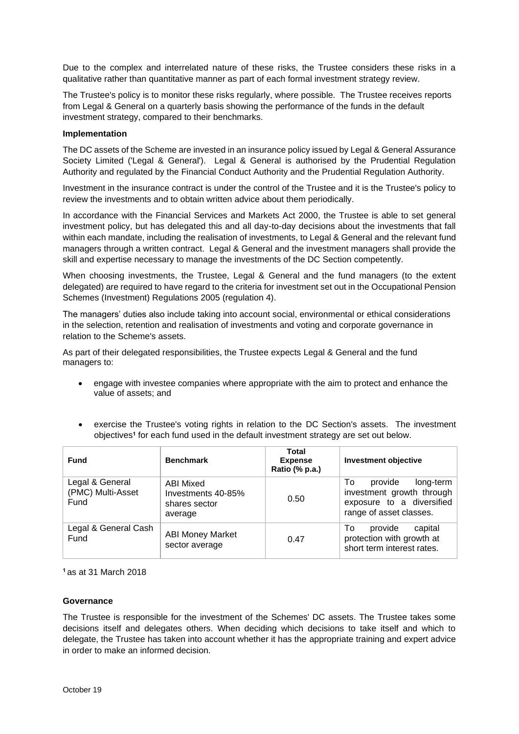Due to the complex and interrelated nature of these risks, the Trustee considers these risks in a qualitative rather than quantitative manner as part of each formal investment strategy review.

The Trustee's policy is to monitor these risks regularly, where possible. The Trustee receives reports from Legal & General on a quarterly basis showing the performance of the funds in the default investment strategy, compared to their benchmarks.

### **Implementation**

The DC assets of the Scheme are invested in an insurance policy issued by Legal & General Assurance Society Limited ('Legal & General'). Legal & General is authorised by the Prudential Regulation Authority and regulated by the Financial Conduct Authority and the Prudential Regulation Authority.

Investment in the insurance contract is under the control of the Trustee and it is the Trustee's policy to review the investments and to obtain written advice about them periodically.

In accordance with the Financial Services and Markets Act 2000, the Trustee is able to set general investment policy, but has delegated this and all day-to-day decisions about the investments that fall within each mandate, including the realisation of investments, to Legal & General and the relevant fund managers through a written contract. Legal & General and the investment managers shall provide the skill and expertise necessary to manage the investments of the DC Section competently.

When choosing investments, the Trustee, Legal & General and the fund managers (to the extent delegated) are required to have regard to the criteria for investment set out in the Occupational Pension Schemes (Investment) Regulations 2005 (regulation 4).

The managers' duties also include taking into account social, environmental or ethical considerations in the selection, retention and realisation of investments and voting and corporate governance in relation to the Scheme's assets.

As part of their delegated responsibilities, the Trustee expects Legal & General and the fund managers to:

- engage with investee companies where appropriate with the aim to protect and enhance the value of assets; and
- exercise the Trustee's voting rights in relation to the DC Section's assets. The investment objectives**<sup>1</sup>** for each fund used in the default investment strategy are set out below.

| <b>Fund</b>                                  | <b>Benchmark</b>                                                   | <b>Total</b><br><b>Expense</b><br>Ratio (% p.a.) | <b>Investment objective</b>                                                                                     |
|----------------------------------------------|--------------------------------------------------------------------|--------------------------------------------------|-----------------------------------------------------------------------------------------------------------------|
| Legal & General<br>(PMC) Multi-Asset<br>Fund | <b>ABI Mixed</b><br>Investments 40-85%<br>shares sector<br>average | 0.50                                             | To<br>provide<br>long-term<br>investment growth through<br>exposure to a diversified<br>range of asset classes. |
| Legal & General Cash<br>Fund                 | <b>ABI Money Market</b><br>sector average                          | 0.47                                             | provide<br>To<br>capital<br>protection with growth at<br>short term interest rates.                             |

**<sup>1</sup>**as at 31 March 2018

#### **Governance**

The Trustee is responsible for the investment of the Schemes' DC assets. The Trustee takes some decisions itself and delegates others. When deciding which decisions to take itself and which to delegate, the Trustee has taken into account whether it has the appropriate training and expert advice in order to make an informed decision.